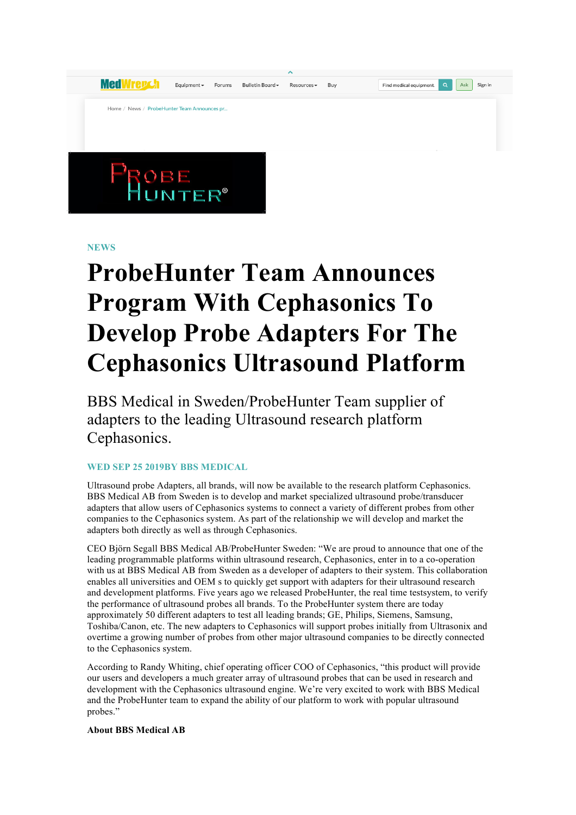**MedWrepch** Ask Sign in Find medical equipment.  $F$ quinment  $\star$ Forums Bulletin Board -Resources -**Buy** Home / News / ProbeHunter Team Announces pr.

**NEWS**

## **ProbeHunter Team Announces Program With Cephasonics To Develop Probe Adapters For The Cephasonics Ultrasound Platform**

BBS Medical in Sweden/ProbeHunter Team supplier of adapters to the leading Ultrasound research platform Cephasonics.

## **WED SEP 25 2019BY BBS MEDICAL**

Ultrasound probe Adapters, all brands, will now be available to the research platform Cephasonics. BBS Medical AB from Sweden is to develop and market specialized ultrasound probe/transducer adapters that allow users of Cephasonics systems to connect a variety of different probes from other companies to the Cephasonics system. As part of the relationship we will develop and market the adapters both directly as well as through Cephasonics.

CEO Björn Segall BBS Medical AB/ProbeHunter Sweden: "We are proud to announce that one of the leading programmable platforms within ultrasound research, Cephasonics, enter in to a co-operation with us at BBS Medical AB from Sweden as a developer of adapters to their system. This collaboration enables all universities and OEM s to quickly get support with adapters for their ultrasound research and development platforms. Five years ago we released ProbeHunter, the real time testsystem, to verify the performance of ultrasound probes all brands. To the ProbeHunter system there are today approximately 50 different adapters to test all leading brands; GE, Philips, Siemens, Samsung, Toshiba/Canon, etc. The new adapters to Cephasonics will support probes initially from Ultrasonix and overtime a growing number of probes from other major ultrasound companies to be directly connected to the Cephasonics system.

According to Randy Whiting, chief operating officer COO of Cephasonics, "this product will provide our users and developers a much greater array of ultrasound probes that can be used in research and development with the Cephasonics ultrasound engine. We're very excited to work with BBS Medical and the ProbeHunter team to expand the ability of our platform to work with popular ultrasound probes."

**About BBS Medical AB**